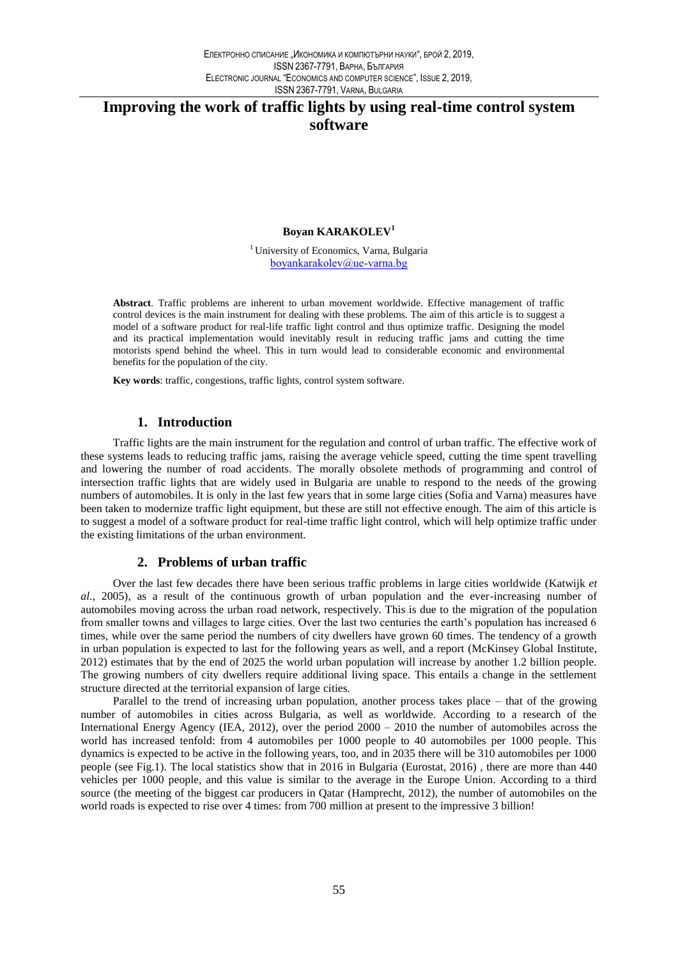# Improving the work of traffic lights by using real-time control system software

### Boyan KARAKOLEV<sup>1</sup>

<sup>1</sup> University of Economics, Varna, Bulgaria  $boxnkrakolev@ue-varna.bg$ 

Abstract. Traffic problems are inherent to urban movement worldwide. Effective management of traffic control devices is the main instrument for dealing with these problems. The aim of this article is to suggest a model of a software product for real-life traffic light control and thus optimize traffic. Designing the model and its practical implementation would inevitably result in reducing traffic jams and cutting the time motorists spend behind the wheel. This in turn would lead to considerable economic and environmental benefits for the population of the city.

Key words: traffic, congestions, traffic lights, control system software.

### 1. Introduction

Traffic lights are the main instrument for the regulation and control of urban traffic. The effective work of these systems leads to reducing traffic jams, raising the average vehicle speed, cutting the time spent travelling and lowering the number of road accidents. The morally obsolete methods of programming and control of intersection traffic lights that are widely used in Bulgaria are unable to respond to the needs of the growing numbers of automobiles. It is only in the last few years that in some large cities (Sofia and Varna) measures have been taken to modernize traffic light equipment, but these are still not effective enough. The aim of this article is to suggest a model of a software product for real-time traffic light control, which will help optimize traffic under the existing limitations of the urban environment.

### 2. Problems of urban traffic

Over the last few decades there have been serious traffic problems in large cities worldwide (Katwijk et al., 2005), as a result of the continuous growth of urban population and the ever-increasing number of automobiles moving across the urban road network, respectively. This is due to the migration of the population from smaller towns and villages to large cities. Over the last two centuries the earth's population has increased 6 times, while over the same period the numbers of city dwellers have grown 60 times. The tendency of a growth in urban population is expected to last for the following years as well, and a report (McKinsey Global Institute, 2012) estimates that by the end of 2025 the world urban population will increase by another 1.2 billion people. The growing numbers of city dwellers require additional living space. This entails a change in the settlement structure directed at the territorial expansion of large cities.

Parallel to the trend of increasing urban population, another process takes place – that of the growing number of automobiles in cities across Bulgaria, as well as worldwide. According to a research of the International Energy Agency (IEA, 2012), over the period 2000 - 2010 the number of automobiles across the world has increased tenfold: from 4 automobiles per 1000 people to 40 automobiles per 1000 people. This dynamics is expected to be active in the following years, too, and in 2035 there will be 310 automobiles per 1000 people (see Fig.1). The local statistics show that in 2016 in Bulgaria (Eurostat, 2016), there are more than 440 vehicles per 1000 people, and this value is similar to the average in the Europe Union. According to a third source (the meeting of the biggest car producers in Qatar (Hamprecht, 2012), the number of automobiles on the world roads is expected to rise over 4 times: from 700 million at present to the impressive 3 billion!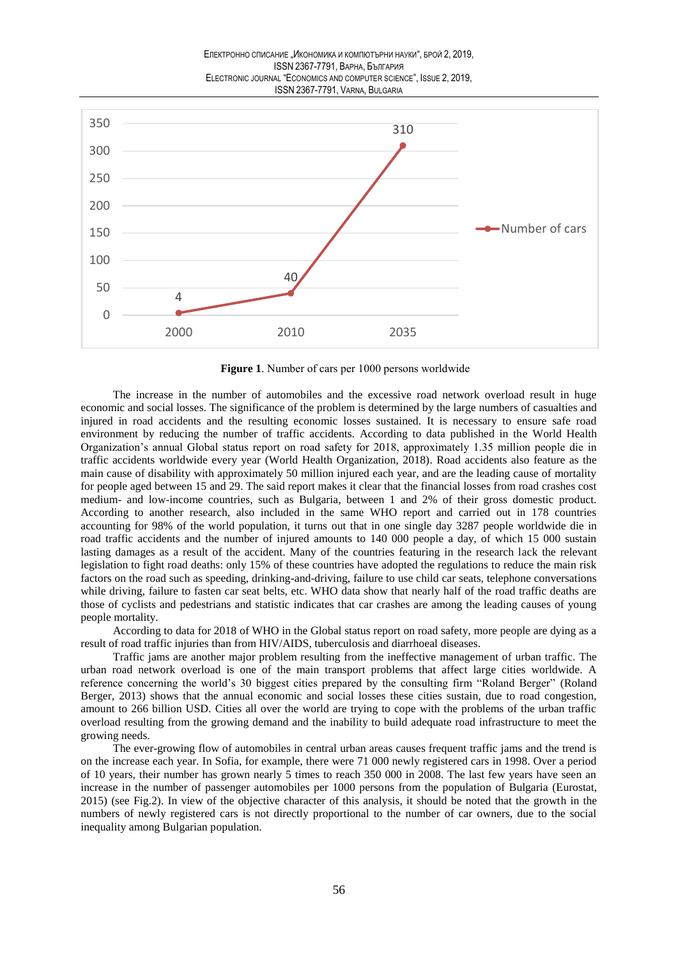

Figure 1. Number of cars per 1000 persons worldwide

The increase in the number of automobiles and the excessive road network overload result in huge economic and social losses. The significance of the problem is determined by the large numbers of casualties and injured in road accidents and the resulting economic losses sustained. It is necessary to ensure safe road environment by reducing the number of traffic accidents. According to data published in the World Health Organization's annual Global status report on road safety for 2018, approximately 1.35 million people die in traffic accidents worldwide every year (World Health Organization, 2018). Road accidents also feature as the main cause of disability with approximately 50 million injured each year, and are the leading cause of mortality for people aged between 15 and 29. The said report makes it clear that the financial losses from road crashes cost medium- and low-income countries, such as Bulgaria, between 1 and 2% of their gross domestic product. According to another research, also included in the same WHO report and carried out in 178 countries accounting for 98% of the world population, it turns out that in one single day 3287 people worldwide die in road traffic accidents and the number of injured amounts to 140 000 people a day, of which 15 000 sustain lasting damages as a result of the accident. Many of the countries featuring in the research lack the relevant legislation to fight road deaths: only 15% of these countries have adopted the regulations to reduce the main risk factors on the road such as speeding, drinking-and-driving, failure to use child car seats, telephone conversations while driving, failure to fasten car seat belts, etc. WHO data show that nearly half of the road traffic deaths are those of cyclists and pedestrians and statistic indicates that car crashes are among the leading causes of young people mortality.

According to data for 2018 of WHO in the Global status report on road safety, more people are dying as a result of road traffic injuries than from HIV/AIDS, tuberculosis and diarrhoeal diseases.

Traffic jams are another major problem resulting from the ineffective management of urban traffic. The urban road network overload is one of the main transport problems that affect large cities worldwide. A reference concerning the world's 30 biggest cities prepared by the consulting firm "Roland Berger" (Roland Berger, 2013) shows that the annual economic and social losses these cities sustain, due to road congestion, amount to 266 billion USD. Cities all over the world are trying to cope with the problems of the urban traffic overload resulting from the growing demand and the inability to build adequate road infrastructure to meet the growing needs.

The ever-growing flow of automobiles in central urban areas causes frequent traffic jams and the trend is on the increase each year. In Sofia, for example, there were 71 000 newly registered cars in 1998. Over a period of 10 years, their number has grown nearly 5 times to reach 350 000 in 2008. The last few years have seen an increase in the number of passenger automobiles per 1000 persons from the population of Bulgaria (Eurostat, 2015) (see Fig.2). In view of the objective character of this analysis, it should be noted that the growth in the numbers of newly registered cars is not directly proportional to the number of car owners, due to the social inequality among Bulgarian population.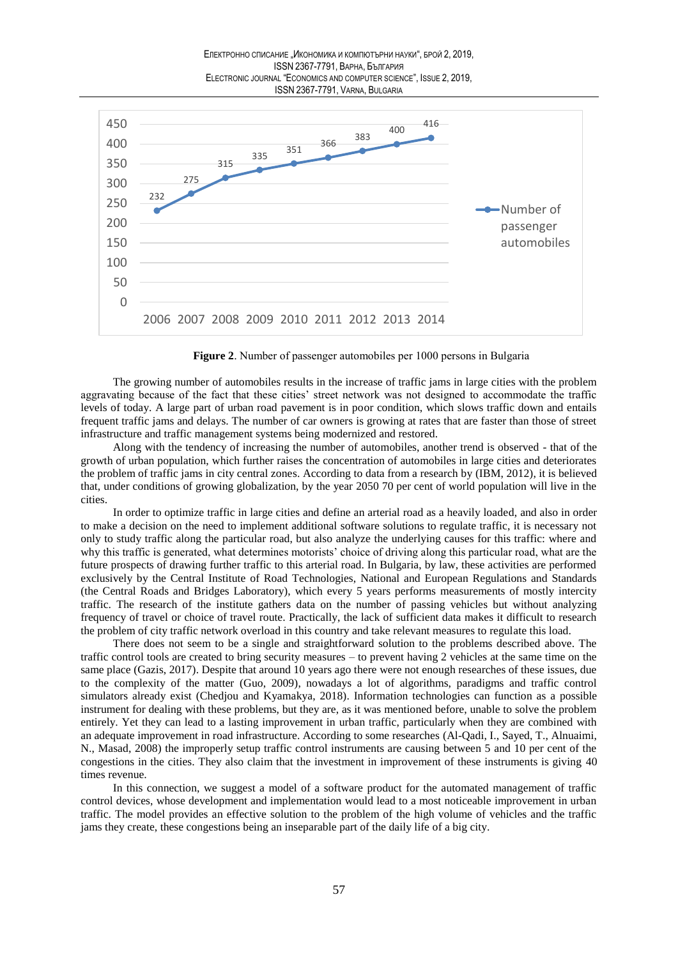

Figure 2. Number of passenger automobiles per 1000 persons in Bulgaria

The growing number of automobiles results in the increase of traffic jams in large cities with the problem aggravating because of the fact that these cities' street network was not designed to accommodate the traffic levels of today. A large part of urban road pavement is in poor condition, which slows traffic down and entails frequent traffic jams and delays. The number of car owners is growing at rates that are faster than those of street infrastructure and traffic management systems being modernized and restored.

Along with the tendency of increasing the number of automobiles, another trend is observed - that of the growth of urban population, which further raises the concentration of automobiles in large cities and deteriorates the problem of traffic jams in city central zones. According to data from a research by (IBM, 2012), it is believed that, under conditions of growing globalization, by the year 2050 70 per cent of world population will live in the cities.

In order to optimize traffic in large cities and define an arterial road as a heavily loaded, and also in order to make a decision on the need to implement additional software solutions to regulate traffic, it is necessary not only to study traffic along the particular road, but also analyze the underlying causes for this traffic: where and why this traffic is generated, what determines motorists' choice of driving along this particular road, what are the future prospects of drawing further traffic to this arterial road. In Bulgaria, by law, these activities are performed exclusively by the Central Institute of Road Technologies, National and European Regulations and Standards (the Central Roads and Bridges Laboratory), which every 5 years performs measurements of mostly intercity traffic. The research of the institute gathers data on the number of passing vehicles but without analyzing frequency of travel or choice of travel route. Practically, the lack of sufficient data makes it difficult to research the problem of city traffic network overload in this country and take relevant measures to regulate this load.

There does not seem to be a single and straightforward solution to the problems described above. The traffic control tools are created to bring security measures – to prevent having 2 vehicles at the same time on the same place (Gazis, 2017). Despite that around 10 years ago there were not enough researches of these issues, due to the complexity of the matter (Guo, 2009), nowadays a lot of algorithms, paradigms and traffic control simulators already exist (Chedjou and Kyamakya, 2018). Information technologies can function as a possible instrument for dealing with these problems, but they are, as it was mentioned before, unable to solve the problem entirely. Yet they can lead to a lasting improvement in urban traffic, particularly when they are combined with an adequate improvement in road infrastructure. According to some researches (Al-Qadi, I., Sayed, T., Alnuaimi, N., Masad, 2008) the improperly setup traffic control instruments are causing between 5 and 10 per cent of the congestions in the cities. They also claim that the investment in improvement of these instruments is giving 40 times revenue.

In this connection, we suggest a model of a software product for the automated management of traffic control devices, whose development and implementation would lead to a most noticeable improvement in urban traffic. The model provides an effective solution to the problem of the high volume of vehicles and the traffic jams they create, these congestions being an inseparable part of the daily life of a big city.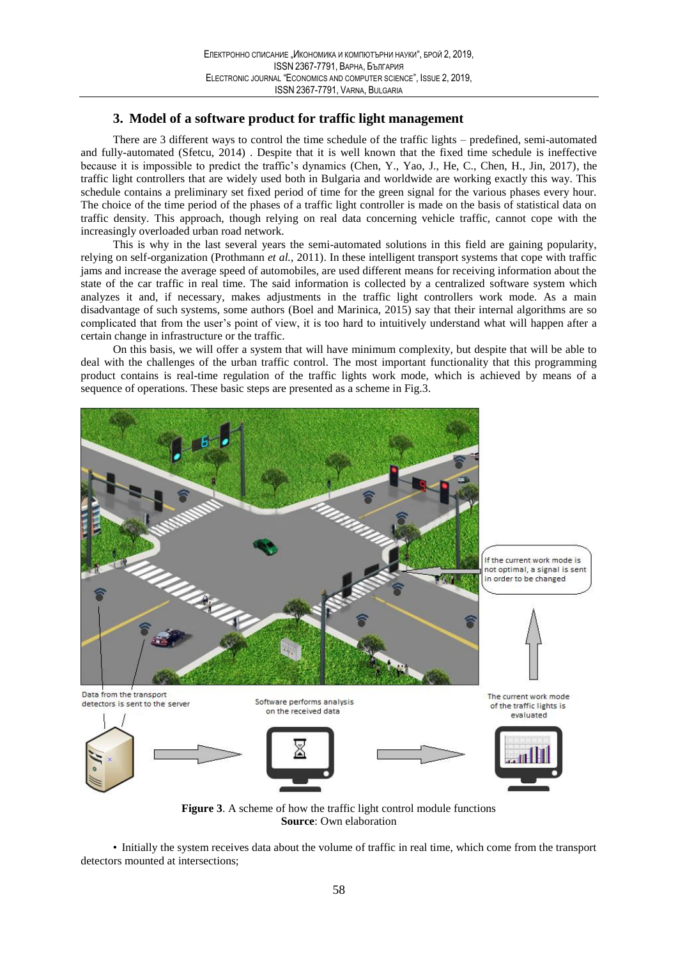## 3. Model of a software product for traffic light management

There are 3 different ways to control the time schedule of the traffic lights – predefined, semi-automated and fully-automated (Sfetcu, 2014). Despite that it is well known that the fixed time schedule is ineffective because it is impossible to predict the traffic's dynamics (Chen, Y., Yao, J., He, C., Chen, H., Jin, 2017), the traffic light controllers that are widely used both in Bulgaria and worldwide are working exactly this way. This schedule contains a preliminary set fixed period of time for the green signal for the various phases every hour. The choice of the time period of the phases of a traffic light controller is made on the basis of statistical data on traffic density. This approach, though relying on real data concerning vehicle traffic, cannot cope with the increasingly overloaded urban road network.

This is why in the last several years the semi-automated solutions in this field are gaining popularity, relying on self-organization (Prothmann et al., 2011). In these intelligent transport systems that cope with traffic jams and increase the average speed of automobiles, are used different means for receiving information about the state of the car traffic in real time. The said information is collected by a centralized software system which analyzes it and, if necessary, makes adjustments in the traffic light controllers work mode. As a main disadvantage of such systems, some authors (Boel and Marinica, 2015) say that their internal algorithms are so complicated that from the user's point of view, it is too hard to intuitively understand what will happen after a certain change in infrastructure or the traffic.

On this basis, we will offer a system that will have minimum complexity, but despite that will be able to deal with the challenges of the urban traffic control. The most important functionality that this programming product contains is real-time regulation of the traffic lights work mode, which is achieved by means of a sequence of operations. These basic steps are presented as a scheme in Fig.3.



**Figure 3.** A scheme of how the traffic light control module functions **Source:** Own elaboration

• Initially the system receives data about the volume of traffic in real time, which come from the transport detectors mounted at intersections: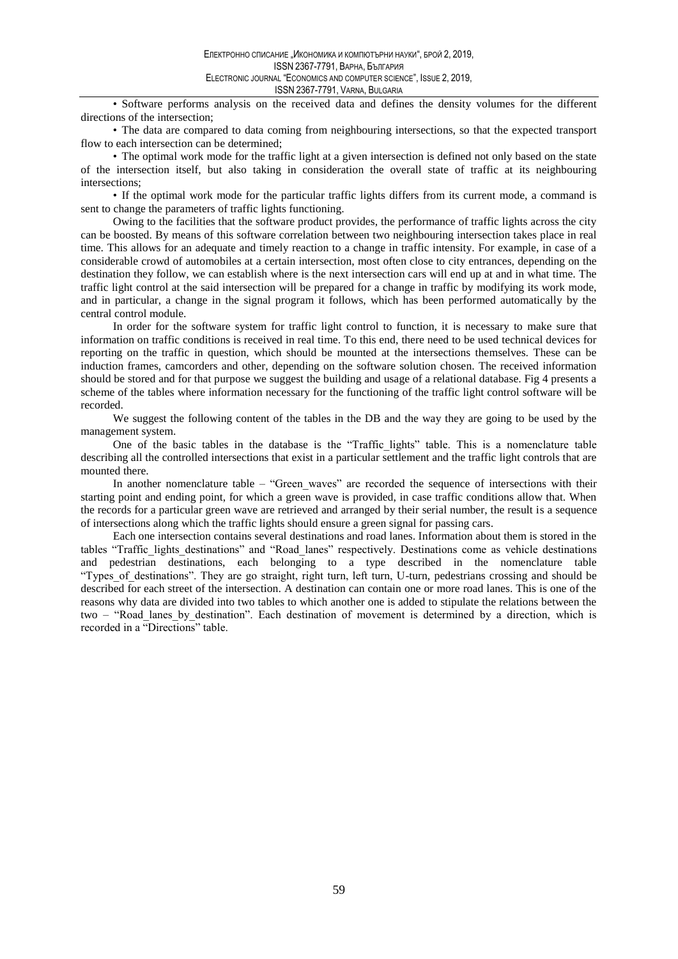· Software performs analysis on the received data and defines the density volumes for the different directions of the intersection;

• The data are compared to data coming from neighbouring intersections, so that the expected transport flow to each intersection can be determined;

• The optimal work mode for the traffic light at a given intersection is defined not only based on the state of the intersection itself, but also taking in consideration the overall state of traffic at its neighbouring intersections:

• If the optimal work mode for the particular traffic lights differs from its current mode, a command is sent to change the parameters of traffic lights functioning.

Owing to the facilities that the software product provides, the performance of traffic lights across the city can be boosted. By means of this software correlation between two neighbouring intersection takes place in real time. This allows for an adequate and timely reaction to a change in traffic intensity. For example, in case of a considerable crowd of automobiles at a certain intersection, most often close to city entrances, depending on the destination they follow, we can establish where is the next intersection cars will end up at and in what time. The traffic light control at the said intersection will be prepared for a change in traffic by modifying its work mode, and in particular, a change in the signal program it follows, which has been performed automatically by the central control module.

In order for the software system for traffic light control to function, it is necessary to make sure that information on traffic conditions is received in real time. To this end, there need to be used technical devices for reporting on the traffic in question, which should be mounted at the intersections themselves. These can be induction frames, camcorders and other, depending on the software solution chosen. The received information should be stored and for that purpose we suggest the building and usage of a relational database. Fig 4 presents a scheme of the tables where information necessary for the functioning of the traffic light control software will be recorded.

We suggest the following content of the tables in the DB and the way they are going to be used by the management system.

One of the basic tables in the database is the "Traffic lights" table. This is a nomenclature table describing all the controlled intersections that exist in a particular settlement and the traffic light controls that are mounted there.

In another nomenclature table – "Green waves" are recorded the sequence of intersections with their starting point and ending point, for which a green wave is provided, in case traffic conditions allow that. When the records for a particular green wave are retrieved and arranged by their serial number, the result is a sequence of intersections along which the traffic lights should ensure a green signal for passing cars.

Each one intersection contains several destinations and road lanes. Information about them is stored in the tables "Traffic\_lights\_destinations" and "Road\_lanes" respectively. Destinations come as vehicle destinations and pedestrian destinations, each belonging to a type described in the nomenclature table "Types\_of\_destinations". They are go straight, right turn, left turn, U-turn, pedestrians crossing and should be described for each street of the intersection. A destination can contain one or more road lanes. This is one of the reasons why data are divided into two tables to which another one is added to stipulate the relations between the two - "Road lanes by destination". Each destination of movement is determined by a direction, which is recorded in a "Directions" table.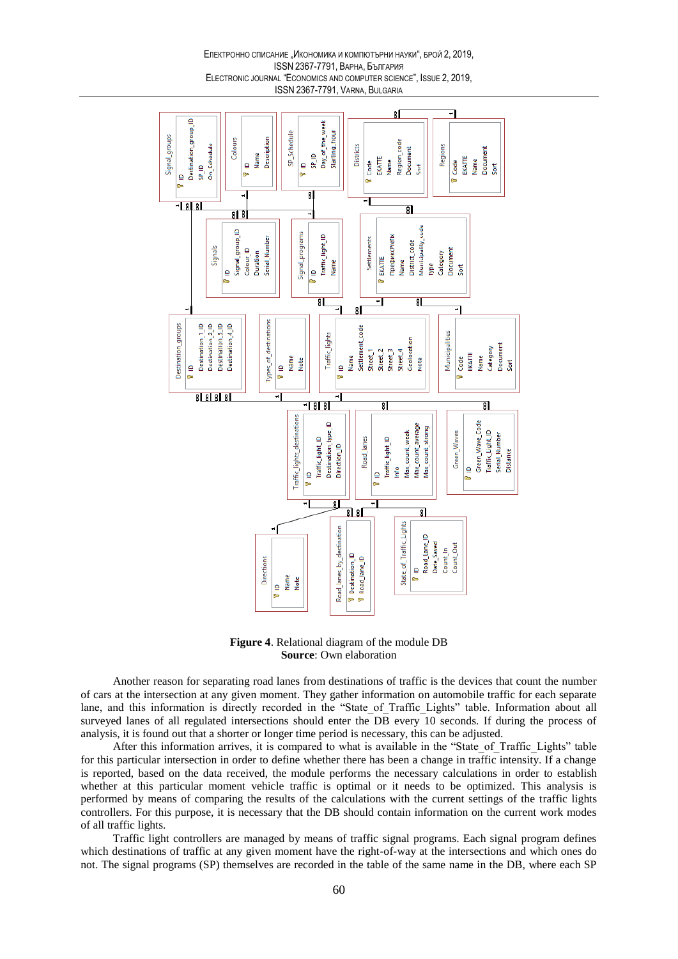#### Електронно списание "Икономика и компютърни науки", брой 2, 2019, **ISSN 2367-7791, ВАРНА, България** ELECTRONIC JOURNAL "ECONOMICS AND COMPUTER SCIENCE", ISSUE 2, 2019, ISSN 2367-7791, VARNA, BULGARIA



Figure 4. Relational diagram of the module DB **Source:** Own elaboration

Another reason for separating road lanes from destinations of traffic is the devices that count the number of cars at the intersection at any given moment. They gather information on automobile traffic for each separate lane, and this information is directly recorded in the "State of Traffic Lights" table. Information about all surveyed lanes of all regulated intersections should enter the DB every 10 seconds. If during the process of analysis, it is found out that a shorter or longer time period is necessary, this can be adjusted.

After this information arrives, it is compared to what is available in the "State of Traffic Lights" table for this particular intersection in order to define whether there has been a change in traffic intensity. If a change is reported, based on the data received, the module performs the necessary calculations in order to establish whether at this particular moment vehicle traffic is optimal or it needs to be optimized. This analysis is performed by means of comparing the results of the calculations with the current settings of the traffic lights controllers. For this purpose, it is necessary that the DB should contain information on the current work modes of all traffic lights.

Traffic light controllers are managed by means of traffic signal programs. Each signal program defines which destinations of traffic at any given moment have the right-of-way at the intersections and which ones do not. The signal programs (SP) themselves are recorded in the table of the same name in the DB, where each SP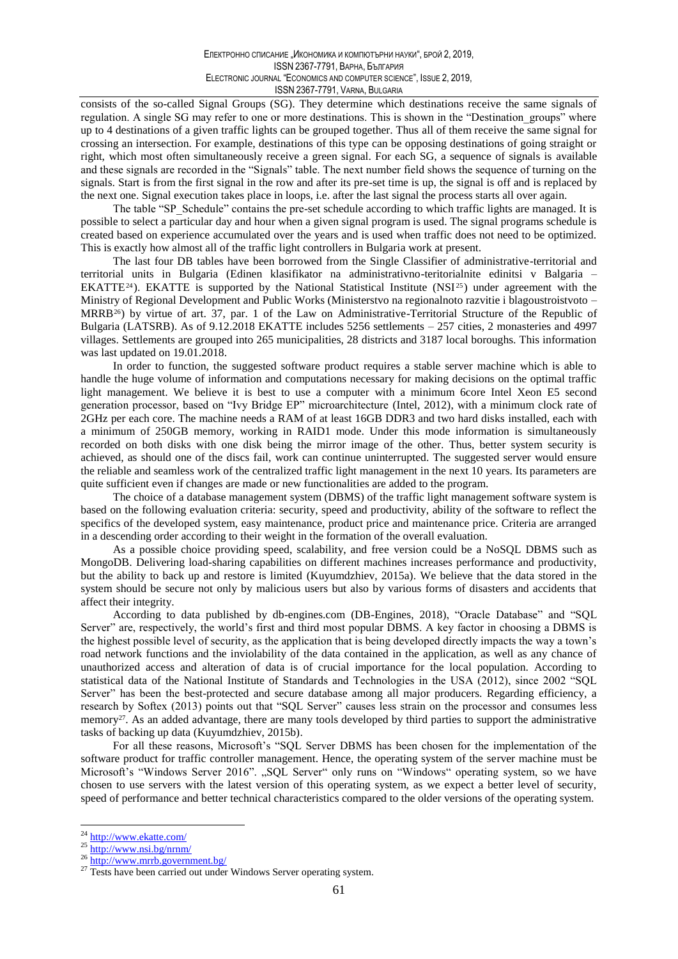consists of the so-called Signal Groups (SG). They determine which destinations receive the same signals of regulation. A single SG may refer to one or more destinations. This is shown in the "Destination\_groups" where up to 4 destinations of a given traffic lights can be grouped together. Thus all of them receive the same signal for crossing an intersection. For example, destinations of this type can be opposing destinations of going straight or right, which most often simultaneously receive a green signal. For each SG, a sequence of signals is available and these signals are recorded in the "Signals" table. The next number field shows the sequence of turning on the signals. Start is from the first signal in the row and after its pre-set time is up, the signal is off and is replaced by the next one. Signal execution takes place in loops, i.e. after the last signal the process starts all over again.

The table "SP Schedule" contains the pre-set schedule according to which traffic lights are managed. It is possible to select a particular day and hour when a given signal program is used. The signal programs schedule is created based on experience accumulated over the years and is used when traffic does not need to be optimized. This is exactly how almost all of the traffic light controllers in Bulgaria work at present.

The last four DB tables have been borrowed from the Single Classifier of administrative-territorial and territorial units in Bulgaria (Edinen klasifikator na administrativno-teritorialnite edinitsi v Balgaria -EKATTE<sup>24</sup>). EKATTE is supported by the National Statistical Institute (NSI<sup>25</sup>) under agreement with the Ministry of Regional Development and Public Works (Ministerstyo na regionalnoto razvitie i blagoustroistyoto – MRRB<sup>26</sup>) by virtue of art. 37, par. 1 of the Law on Administrative-Territorial Structure of the Republic of Bulgaria (LATSRB). As of 9.12.2018 EKATTE includes 5256 settlements - 257 cities, 2 monasteries and 4997 villages. Settlements are grouped into 265 municipalities, 28 districts and 3187 local boroughs. This information was last updated on 19.01.2018.

In order to function, the suggested software product requires a stable server machine which is able to handle the huge volume of information and computations necessary for making decisions on the optimal traffic light management. We believe it is best to use a computer with a minimum 6core Intel Xeon E5 second generation processor, based on "Ivy Bridge EP" microarchitecture (Intel, 2012), with a minimum clock rate of 2GHz per each core. The machine needs a RAM of at least 16GB DDR3 and two hard disks installed, each with a minimum of 250GB memory, working in RAID1 mode. Under this mode information is simultaneously recorded on both disks with one disk being the mirror image of the other. Thus, better system security is achieved, as should one of the discs fail, work can continue uninterrupted. The suggested server would ensure the reliable and seamless work of the centralized traffic light management in the next 10 years. Its parameters are quite sufficient even if changes are made or new functionalities are added to the program.

The choice of a database management system (DBMS) of the traffic light management software system is based on the following evaluation criteria: security, speed and productivity, ability of the software to reflect the specifics of the developed system, easy maintenance, product price and maintenance price. Criteria are arranged in a descending order according to their weight in the formation of the overall evaluation.

As a possible choice providing speed, scalability, and free version could be a NoSQL DBMS such as MongoDB. Delivering load-sharing capabilities on different machines increases performance and productivity, but the ability to back up and restore is limited (Kuyumdzhiev, 2015a). We believe that the data stored in the system should be secure not only by malicious users but also by various forms of disasters and accidents that affect their integrity.

According to data published by db-engines.com (DB-Engines, 2018), "Oracle Database" and "SQL Server" are, respectively, the world's first and third most popular DBMS. A key factor in choosing a DBMS is the highest possible level of security, as the application that is being developed directly impacts the way a town's road network functions and the inviolability of the data contained in the application, as well as any chance of unauthorized access and alteration of data is of crucial importance for the local population. According to statistical data of the National Institute of Standards and Technologies in the USA (2012), since 2002 "SQL Server" has been the best-protected and secure database among all major producers. Regarding efficiency, a research by Softex (2013) points out that "SOL Server" causes less strain on the processor and consumes less memory<sup>27</sup>. As an added advantage, there are many tools developed by third parties to support the administrative tasks of backing up data (Kuyumdzhiev, 2015b).

For all these reasons, Microsoft's "SQL Server DBMS has been chosen for the implementation of the software product for traffic controller management. Hence, the operating system of the server machine must be Microsoft's "Windows Server 2016". "SQL Server" only runs on "Windows" operating system, so we have chosen to use servers with the latest version of this operating system, as we expect a better level of security, speed of performance and better technical characteristics compared to the older versions of the operating system.

<sup>&</sup>lt;sup>24</sup> http://www.ekatte.com/

 $\frac{25 \text{ http://www.nsi.bg/nrnm/}}{http://www.nsi.bg/nrnm/}}$ 

<sup>&</sup>lt;sup>26</sup> http://www.mrrb.government.bg/

<sup>&</sup>lt;sup>27</sup> Tests have been carried out under Windows Server operating system.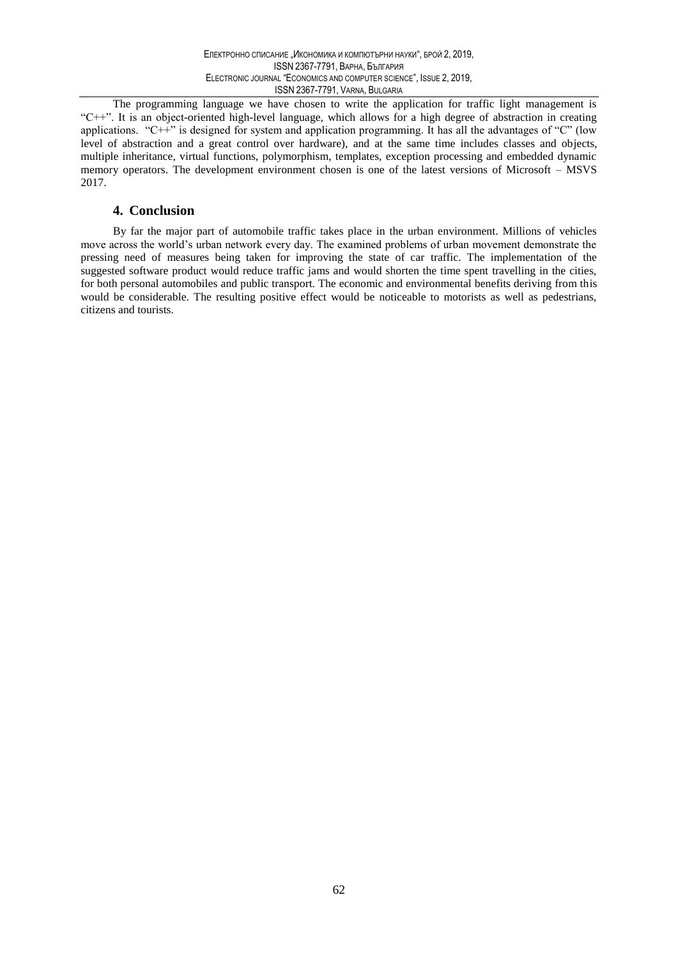The programming language we have chosen to write the application for traffic light management is "C++". It is an object-oriented high-level language, which allows for a high degree of abstraction in creating applications. "C++" is designed for system and application programming. It has all the advantages of "C" (low level of abstraction and a great control over hardware), and at the same time includes classes and objects, multiple inheritance, virtual functions, polymorphism, templates, exception processing and embedded dynamic memory operators. The development environment chosen is one of the latest versions of Microsoft – MSVS 2017.

### 4. Conclusion

By far the major part of automobile traffic takes place in the urban environment. Millions of vehicles move across the world's urban network every day. The examined problems of urban movement demonstrate the pressing need of measures being taken for improving the state of car traffic. The implementation of the suggested software product would reduce traffic jams and would shorten the time spent travelling in the cities, for both personal automobiles and public transport. The economic and environmental benefits deriving from this would be considerable. The resulting positive effect would be noticeable to motorists as well as pedestrians, citizens and tourists.